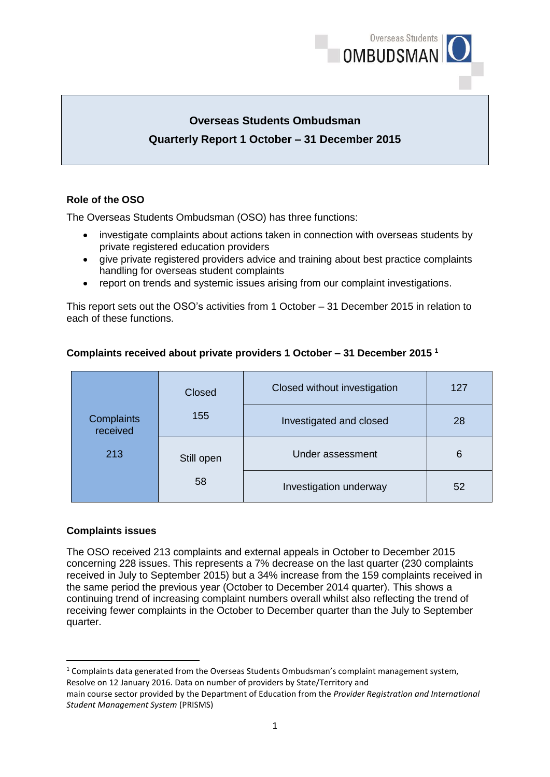

# **Overseas Students Ombudsman Quarterly Report 1 October – 31 December 2015**

### **Role of the OSO**

The Overseas Students Ombudsman (OSO) has three functions:

- investigate complaints about actions taken in connection with overseas students by private registered education providers
- give private registered providers advice and training about best practice complaints handling for overseas student complaints
- report on trends and systemic issues arising from our complaint investigations.

This report sets out the OSO's activities from 1 October – 31 December 2015 in relation to each of these functions.

|                        | Closed     | Closed without investigation | 127 |
|------------------------|------------|------------------------------|-----|
| Complaints<br>received | 155        | Investigated and closed      | 28  |
| 213                    | Still open | Under assessment             | 6   |
|                        | 58         | Investigation underway       | 52  |

# **Complaints received about private providers 1 October – 31 December 2015 <sup>1</sup>**

### **Complaints issues**

**.** 

The OSO received 213 complaints and external appeals in October to December 2015 concerning 228 issues. This represents a 7% decrease on the last quarter (230 complaints received in July to September 2015) but a 34% increase from the 159 complaints received in the same period the previous year (October to December 2014 quarter). This shows a continuing trend of increasing complaint numbers overall whilst also reflecting the trend of receiving fewer complaints in the October to December quarter than the July to September quarter.

<sup>1</sup> Complaints data generated from the Overseas Students Ombudsman's complaint management system, Resolve on 12 January 2016. Data on number of providers by State/Territory and

main course sector provided by the Department of Education from the *Provider Registration and International Student Management System* (PRISMS)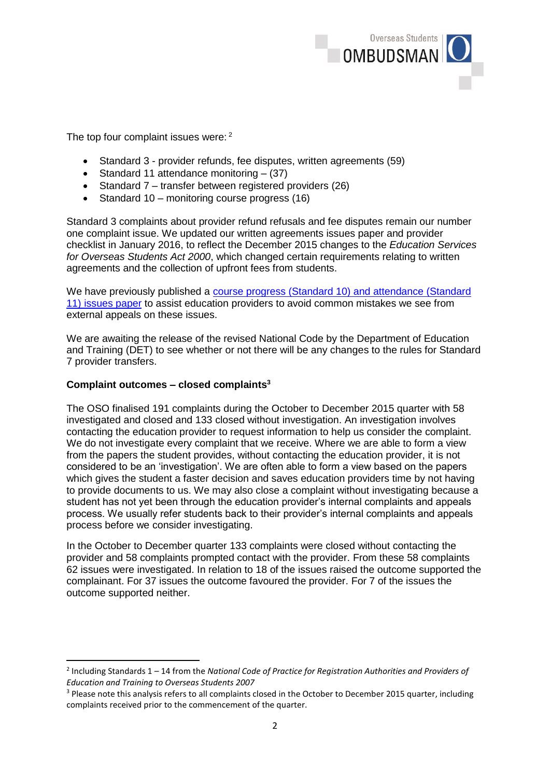

The top four complaint issues were: <sup>2</sup>

- Standard 3 provider refunds, fee disputes, written agreements (59)
- Standard 11 attendance monitoring  $-$  (37)
- Standard 7 transfer between registered providers (26)
- Standard 10 monitoring course progress (16)

Standard 3 complaints about provider refund refusals and fee disputes remain our number one complaint issue. We updated our written agreements issues paper and provider checklist in January 2016, to reflect the December 2015 changes to the *Education Services for Overseas Students Act 2000*, which changed certain requirements relating to written agreements and the collection of upfront fees from students.

We have previously published a [course progress](http://www.oso.gov.au/docs/Course_Progress_May_2015.pdf) (Standard 10) and attendance (Standard 11) [issues paper](http://www.oso.gov.au/docs/Course_Progress_May_2015.pdf) to assist education providers to avoid common mistakes we see from external appeals on these issues.

We are awaiting the release of the revised National Code by the Department of Education and Training (DET) to see whether or not there will be any changes to the rules for Standard 7 provider transfers.

#### **Complaint outcomes – closed complaints<sup>3</sup>**

**.** 

The OSO finalised 191 complaints during the October to December 2015 quarter with 58 investigated and closed and 133 closed without investigation. An investigation involves contacting the education provider to request information to help us consider the complaint. We do not investigate every complaint that we receive. Where we are able to form a view from the papers the student provides, without contacting the education provider, it is not considered to be an 'investigation'. We are often able to form a view based on the papers which gives the student a faster decision and saves education providers time by not having to provide documents to us. We may also close a complaint without investigating because a student has not yet been through the education provider's internal complaints and appeals process. We usually refer students back to their provider's internal complaints and appeals process before we consider investigating.

In the October to December quarter 133 complaints were closed without contacting the provider and 58 complaints prompted contact with the provider. From these 58 complaints 62 issues were investigated. In relation to 18 of the issues raised the outcome supported the complainant. For 37 issues the outcome favoured the provider. For 7 of the issues the outcome supported neither.

<sup>2</sup> Including Standards 1 – 14 from the *National Code of Practice for Registration Authorities and Providers of Education and Training to Overseas Students 2007*

<sup>&</sup>lt;sup>3</sup> Please note this analysis refers to all complaints closed in the October to December 2015 quarter, including complaints received prior to the commencement of the quarter.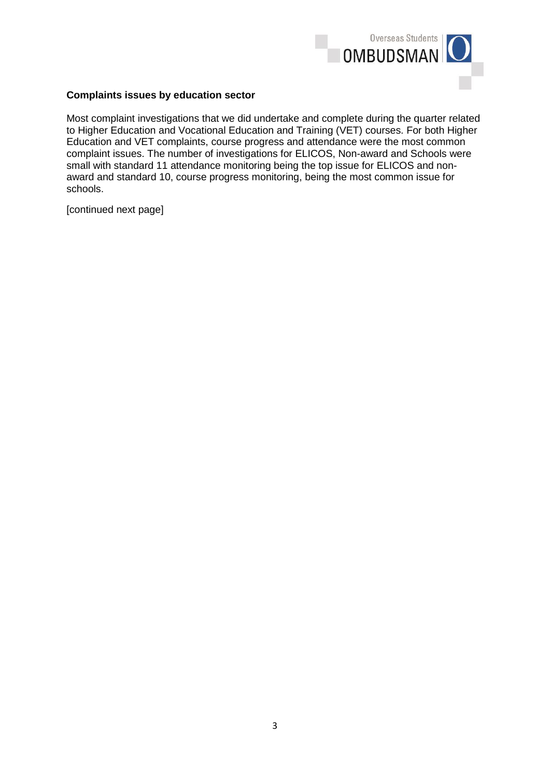

#### **Complaints issues by education sector**

Most complaint investigations that we did undertake and complete during the quarter related to Higher Education and Vocational Education and Training (VET) courses. For both Higher Education and VET complaints, course progress and attendance were the most common complaint issues. The number of investigations for ELICOS, Non-award and Schools were small with standard 11 attendance monitoring being the top issue for ELICOS and nonaward and standard 10, course progress monitoring, being the most common issue for schools.

[continued next page]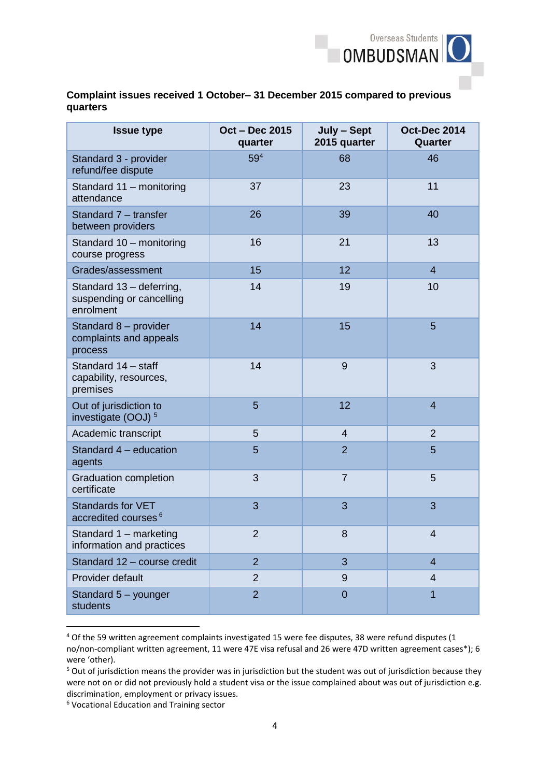

### **Complaint issues received 1 October– 31 December 2015 compared to previous quarters**

| <b>Issue type</b>                                                 | Oct - Dec 2015<br>quarter | July - Sept<br>2015 quarter | <b>Oct-Dec 2014</b><br>Quarter |
|-------------------------------------------------------------------|---------------------------|-----------------------------|--------------------------------|
| Standard 3 - provider<br>refund/fee dispute                       | 59 <sup>4</sup>           | 68                          | 46                             |
| Standard 11 - monitoring<br>attendance                            | 37                        | 23                          | 11                             |
| Standard 7 - transfer<br>between providers                        | 26                        | 39                          | 40                             |
| Standard 10 - monitoring<br>course progress                       | 16                        | 21                          | 13                             |
| Grades/assessment                                                 | 15                        | 12                          | 4                              |
| Standard 13 - deferring,<br>suspending or cancelling<br>enrolment | 14                        | 19                          | 10                             |
| Standard 8 - provider<br>complaints and appeals<br>process        | 14                        | 15                          | 5                              |
| Standard 14 - staff<br>capability, resources,<br>premises         | 14                        | 9                           | 3                              |
| Out of jurisdiction to<br>investigate (OOJ) <sup>5</sup>          | 5                         | 12                          | $\overline{4}$                 |
| Academic transcript                                               | 5                         | $\overline{4}$              | $\overline{2}$                 |
| Standard 4 - education<br>agents                                  | 5                         | $\overline{2}$              | 5                              |
| <b>Graduation completion</b><br>certificate                       | 3                         | $\overline{7}$              | 5                              |
| <b>Standards for VET</b><br>accredited courses <sup>6</sup>       | 3                         | 3                           | 3                              |
| Standard 1 - marketing<br>information and practices               | $\overline{2}$            | 8                           | $\Delta$                       |
| Standard 12 - course credit                                       | $\overline{2}$            | 3                           | $\overline{4}$                 |
| Provider default                                                  | $\overline{2}$            | 9                           | $\overline{4}$                 |
| Standard 5 - younger<br>students                                  | $\overline{2}$            | $\overline{0}$              | 1                              |

<sup>4</sup> Of the 59 written agreement complaints investigated 15 were fee disputes, 38 were refund disputes (1 no/non-compliant written agreement, 11 were 47E visa refusal and 26 were 47D written agreement cases\*); 6 were 'other).

 $\overline{a}$ 

<sup>&</sup>lt;sup>5</sup> Out of jurisdiction means the provider was in jurisdiction but the student was out of jurisdiction because they were not on or did not previously hold a student visa or the issue complained about was out of jurisdiction e.g. discrimination, employment or privacy issues.

<sup>6</sup> Vocational Education and Training sector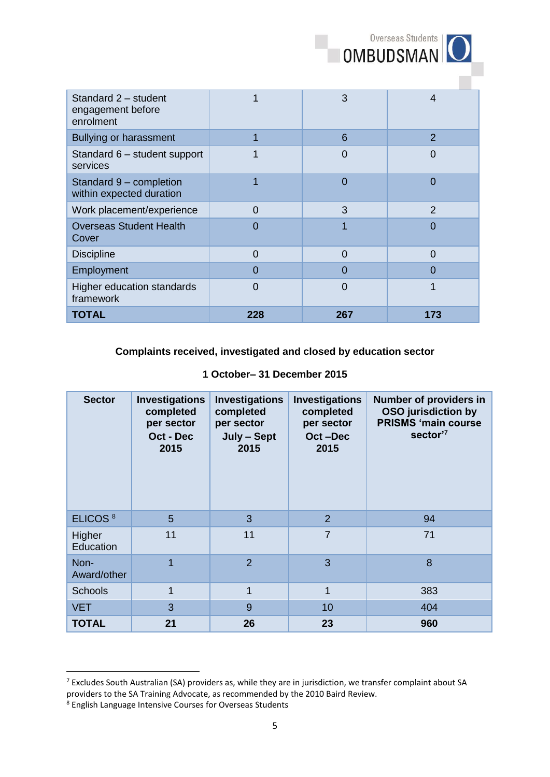| OMBUDSMAN <sup>O</sup> |  |
|------------------------|--|
|                        |  |

| Standard 2 - student<br>engagement before<br>enrolment |          | 3        | 4              |
|--------------------------------------------------------|----------|----------|----------------|
| <b>Bullying or harassment</b>                          |          | 6        | $\overline{2}$ |
| Standard 6 - student support<br>services               |          | 0        | O              |
| Standard 9 - completion<br>within expected duration    |          | 0        | 0              |
| Work placement/experience                              | $\Omega$ | 3        | $\mathfrak{p}$ |
| <b>Overseas Student Health</b><br>Cover                | O        |          | 0              |
| <b>Discipline</b>                                      | $\Omega$ | $\Omega$ | $\Omega$       |
| Employment                                             | 0        | 0        | O              |
| Higher education standards<br>framework                | 0        | 0        |                |
| TOTAL                                                  | 228      | 267      | 173            |

# **Complaints received, investigated and closed by education sector**

|  | 1 October-31 December 2015 |  |  |  |  |
|--|----------------------------|--|--|--|--|
|--|----------------------------|--|--|--|--|

| <b>Sector</b>       | <b>Investigations</b><br>completed<br>per sector<br>Oct - Dec<br>2015 | <b>Investigations</b><br>completed<br>per sector<br>July - Sept<br>2015 | <b>Investigations</b><br>completed<br>per sector<br>Oct-Dec<br>2015 | Number of providers in<br><b>OSO</b> jurisdiction by<br><b>PRISMS 'main course</b><br>sector' <sup>7</sup> |
|---------------------|-----------------------------------------------------------------------|-------------------------------------------------------------------------|---------------------------------------------------------------------|------------------------------------------------------------------------------------------------------------|
| ELICOS <sup>8</sup> | 5                                                                     | 3                                                                       | $\overline{2}$                                                      | 94                                                                                                         |
| Higher<br>Education | 11                                                                    | 11                                                                      | $\overline{7}$                                                      | 71                                                                                                         |
| Non-<br>Award/other | 1                                                                     | $\overline{2}$                                                          | 3                                                                   | 8                                                                                                          |
| <b>Schools</b>      | $\overline{1}$                                                        | $\mathbf{1}$                                                            | 1                                                                   | 383                                                                                                        |
| <b>VET</b>          | 3                                                                     | 9                                                                       | 10                                                                  | 404                                                                                                        |
| <b>TOTAL</b>        | 21                                                                    | 26                                                                      | 23                                                                  | 960                                                                                                        |

**.** 

<sup>7</sup> Excludes South Australian (SA) providers as, while they are in jurisdiction, we transfer complaint about SA providers to the SA Training Advocate, as recommended by the 2010 Baird Review.

<sup>8</sup> English Language Intensive Courses for Overseas Students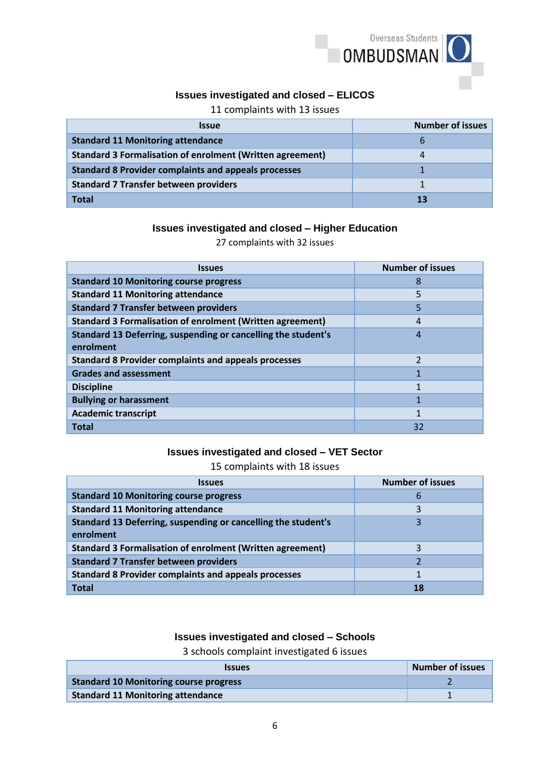

# **Issues investigated and closed – ELICOS**

11 complaints with 13 issues

| <b>Issue</b>                                                     | <b>Number of issues</b> |
|------------------------------------------------------------------|-------------------------|
| <b>Standard 11 Monitoring attendance</b>                         | b                       |
| <b>Standard 3 Formalisation of enrolment (Written agreement)</b> |                         |
| <b>Standard 8 Provider complaints and appeals processes</b>      |                         |
| <b>Standard 7 Transfer between providers</b>                     |                         |
| <b>Total</b>                                                     | 13                      |

#### **Issues investigated and closed – Higher Education**

27 complaints with 32 issues

| <b>Issues</b>                                                    | <b>Number of issues</b> |
|------------------------------------------------------------------|-------------------------|
| <b>Standard 10 Monitoring course progress</b>                    | 8                       |
| <b>Standard 11 Monitoring attendance</b>                         | 5                       |
| <b>Standard 7 Transfer between providers</b>                     | 5                       |
| <b>Standard 3 Formalisation of enrolment (Written agreement)</b> | 4                       |
| Standard 13 Deferring, suspending or cancelling the student's    | 4                       |
| enrolment                                                        |                         |
| <b>Standard 8 Provider complaints and appeals processes</b>      |                         |
| <b>Grades and assessment</b>                                     |                         |
| <b>Discipline</b>                                                |                         |
| <b>Bullying or harassment</b>                                    |                         |
| <b>Academic transcript</b>                                       |                         |
| <b>Total</b>                                                     | 32                      |

#### **Issues investigated and closed – VET Sector**

15 complaints with 18 issues

| <i><b>Issues</b></i>                                                       | <b>Number of issues</b> |
|----------------------------------------------------------------------------|-------------------------|
| <b>Standard 10 Monitoring course progress</b>                              | b                       |
| <b>Standard 11 Monitoring attendance</b>                                   | 3                       |
| Standard 13 Deferring, suspending or cancelling the student's<br>enrolment |                         |
| <b>Standard 3 Formalisation of enrolment (Written agreement)</b>           |                         |
| <b>Standard 7 Transfer between providers</b>                               |                         |
| <b>Standard 8 Provider complaints and appeals processes</b>                |                         |
| <b>Total</b>                                                               |                         |

#### **Issues investigated and closed – Schools**

3 schools complaint investigated 6 issues

| <b>Issues</b>                                 | <b>Number of issues</b> |
|-----------------------------------------------|-------------------------|
| <b>Standard 10 Monitoring course progress</b> |                         |
| <b>Standard 11 Monitoring attendance</b>      |                         |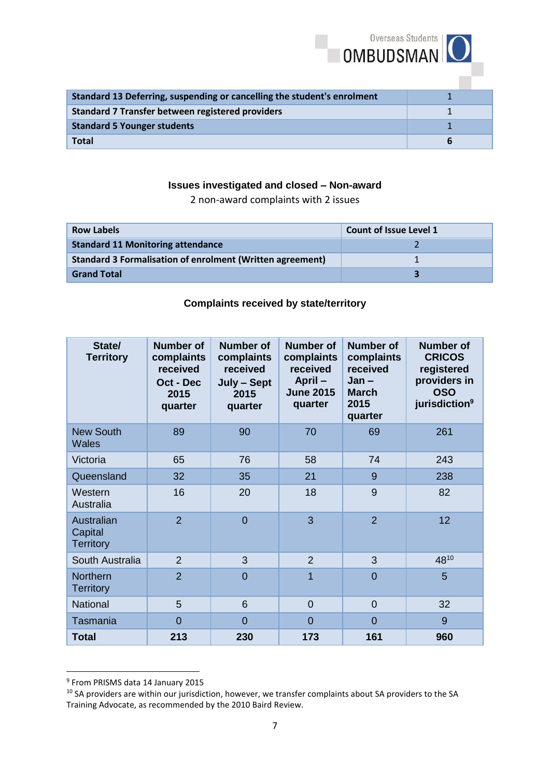| <b>OMBUDSMAN</b>                                                        | Overseas Students |
|-------------------------------------------------------------------------|-------------------|
| Standard 13 Deferring, suspending or cancelling the student's enrolment |                   |
| <b>Standard 7 Transfer between registered providers</b>                 |                   |
| <b>Standard 5 Younger students</b>                                      |                   |
| <b>Total</b>                                                            | 6                 |

# **Issues investigated and closed – Non-award**

2 non-award complaints with 2 issues

| <b>Row Labels</b>                                                | Count of Issue Level 1 |
|------------------------------------------------------------------|------------------------|
| <b>Standard 11 Monitoring attendance</b>                         |                        |
| <b>Standard 3 Formalisation of enrolment (Written agreement)</b> |                        |
| <b>Grand Total</b>                                               |                        |

# **Complaints received by state/territory**

| State/<br><b>Territory</b>                | Number of<br>complaints<br>received<br>Oct - Dec<br>2015<br>quarter | <b>Number of</b><br>complaints<br>received<br>July - Sept<br>2015<br>quarter | Number of<br>complaints<br>received<br>April-<br><b>June 2015</b><br>quarter | Number of<br>complaints<br>received<br>$Jan -$<br><b>March</b><br>2015<br>quarter | <b>Number of</b><br><b>CRICOS</b><br>registered<br>providers in<br><b>OSO</b><br>jurisdiction <sup>9</sup> |
|-------------------------------------------|---------------------------------------------------------------------|------------------------------------------------------------------------------|------------------------------------------------------------------------------|-----------------------------------------------------------------------------------|------------------------------------------------------------------------------------------------------------|
| <b>New South</b><br><b>Wales</b>          | 89                                                                  | 90                                                                           | 70                                                                           | 69                                                                                | 261                                                                                                        |
| Victoria                                  | 65                                                                  | 76                                                                           | 58                                                                           | 74                                                                                | 243                                                                                                        |
| Queensland                                | 32                                                                  | 35                                                                           | 21                                                                           | 9                                                                                 | 238                                                                                                        |
| Western<br>Australia                      | 16                                                                  | 20                                                                           | 18                                                                           | 9                                                                                 | 82                                                                                                         |
| Australian<br>Capital<br><b>Territory</b> | $\overline{2}$                                                      | $\overline{0}$                                                               | 3                                                                            | $\overline{2}$                                                                    | 12                                                                                                         |
| South Australia                           | $\overline{2}$                                                      | 3                                                                            | $\overline{2}$                                                               | 3                                                                                 | 4810                                                                                                       |
| <b>Northern</b><br><b>Territory</b>       | $\overline{2}$                                                      | $\overline{0}$                                                               | $\overline{1}$                                                               | $\overline{0}$                                                                    | 5                                                                                                          |
| <b>National</b>                           | 5                                                                   | 6                                                                            | $\overline{0}$                                                               | $\overline{0}$                                                                    | 32                                                                                                         |
| Tasmania                                  | 0                                                                   | $\overline{0}$                                                               | $\overline{0}$                                                               | $\overline{0}$                                                                    | 9                                                                                                          |
| <b>Total</b>                              | 213                                                                 | 230                                                                          | 173                                                                          | 161                                                                               | 960                                                                                                        |

 9 From PRISMS data 14 January 2015

<sup>10</sup> SA providers are within our jurisdiction, however, we transfer complaints about SA providers to the SA Training Advocate, as recommended by the 2010 Baird Review.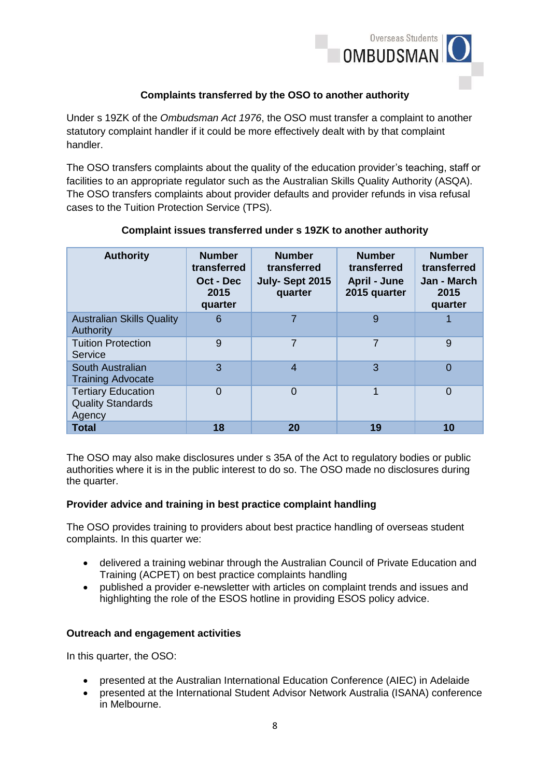

## **Complaints transferred by the OSO to another authority**

Under s 19ZK of the *Ombudsman Act 1976*, the OSO must transfer a complaint to another statutory complaint handler if it could be more effectively dealt with by that complaint handler.

The OSO transfers complaints about the quality of the education provider's teaching, staff or facilities to an appropriate regulator such as the Australian Skills Quality Authority (ASQA). The OSO transfers complaints about provider defaults and provider refunds in visa refusal cases to the Tuition Protection Service (TPS).

| <b>Authority</b>                                                | <b>Number</b><br>transferred<br>Oct - Dec<br>2015<br>quarter | <b>Number</b><br>transferred<br>July-Sept 2015<br>quarter | <b>Number</b><br>transferred<br><b>April - June</b><br>2015 quarter | <b>Number</b><br>transferred<br>Jan - March<br>2015<br>quarter |
|-----------------------------------------------------------------|--------------------------------------------------------------|-----------------------------------------------------------|---------------------------------------------------------------------|----------------------------------------------------------------|
| <b>Australian Skills Quality</b><br><b>Authority</b>            | 6                                                            | 7                                                         | 9                                                                   | 1                                                              |
| <b>Tuition Protection</b><br>Service                            | 9                                                            | $\overline{7}$                                            | $\overline{7}$                                                      | 9                                                              |
| South Australian<br><b>Training Advocate</b>                    | 3                                                            | $\overline{4}$                                            | 3                                                                   | $\overline{0}$                                                 |
| <b>Tertiary Education</b><br><b>Quality Standards</b><br>Agency | $\Omega$                                                     | $\Omega$                                                  | $\mathbf 1$                                                         | $\overline{0}$                                                 |
| <b>Total</b>                                                    | 18                                                           | 20                                                        | 19                                                                  | 10                                                             |

### **Complaint issues transferred under s 19ZK to another authority**

The OSO may also make disclosures under s 35A of the Act to regulatory bodies or public authorities where it is in the public interest to do so. The OSO made no disclosures during the quarter.

#### **Provider advice and training in best practice complaint handling**

The OSO provides training to providers about best practice handling of overseas student complaints. In this quarter we:

- delivered a training webinar through the Australian Council of Private Education and Training (ACPET) on best practice complaints handling
- published a provider e-newsletter with articles on complaint trends and issues and highlighting the role of the ESOS hotline in providing ESOS policy advice.

### **Outreach and engagement activities**

In this quarter, the OSO:

- presented at the Australian International Education Conference (AIEC) in Adelaide
- presented at the International Student Advisor Network Australia (ISANA) conference in Melbourne.